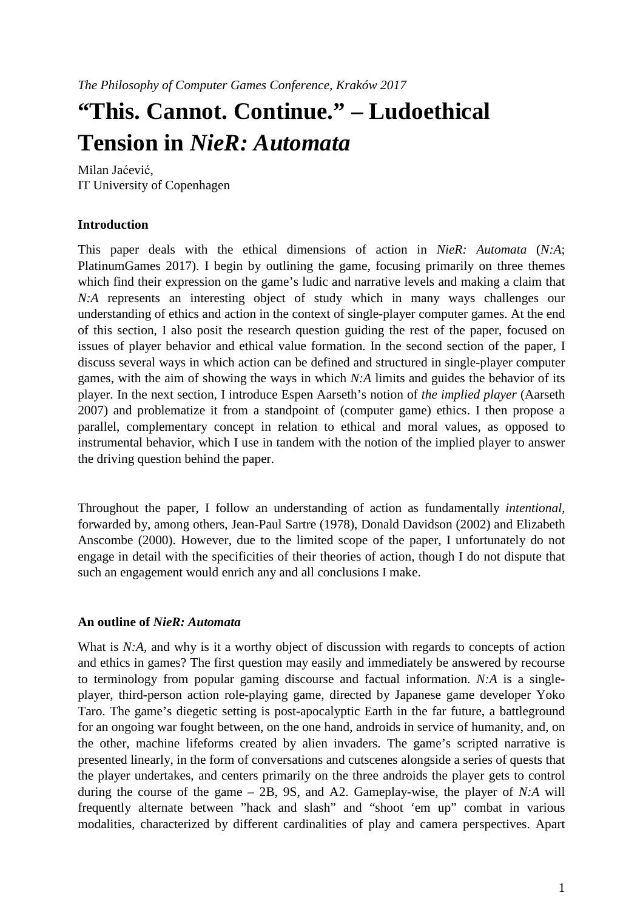# **"This. Cannot. Continue." – Ludoethical Tension in** *NieR: Automata*

Milan Jaćević, IT University of Copenhagen

# **Introduction**

This paper deals with the ethical dimensions of action in *NieR: Automata* (*N:A*; PlatinumGames 2017). I begin by outlining the game, focusing primarily on three themes which find their expression on the game's ludic and narrative levels and making a claim that *N:A* represents an interesting object of study which in many ways challenges our understanding of ethics and action in the context of single-player computer games. At the end of this section, I also posit the research question guiding the rest of the paper, focused on issues of player behavior and ethical value formation. In the second section of the paper, I discuss several ways in which action can be defined and structured in single-player computer games, with the aim of showing the ways in which *N:A* limits and guides the behavior of its player. In the next section, I introduce Espen Aarseth's notion of *the implied player* (Aarseth 2007) and problematize it from a standpoint of (computer game) ethics. I then propose a parallel, complementary concept in relation to ethical and moral values, as opposed to instrumental behavior, which I use in tandem with the notion of the implied player to answer the driving question behind the paper.

Throughout the paper, I follow an understanding of action as fundamentally *intentional*, forwarded by, among others, Jean-Paul Sartre (1978), Donald Davidson (2002) and Elizabeth Anscombe (2000). However, due to the limited scope of the paper, I unfortunately do not engage in detail with the specificities of their theories of action, though I do not dispute that such an engagement would enrich any and all conclusions I make.

# **An outline of** *NieR: Automata*

What is *N:A*, and why is it a worthy object of discussion with regards to concepts of action and ethics in games? The first question may easily and immediately be answered by recourse to terminology from popular gaming discourse and factual information. *N:A* is a singleplayer, third-person action role-playing game, directed by Japanese game developer Yoko Taro. The game's diegetic setting is post-apocalyptic Earth in the far future, a battleground for an ongoing war fought between, on the one hand, androids in service of humanity, and, on the other, machine lifeforms created by alien invaders. The game's scripted narrative is presented linearly, in the form of conversations and cutscenes alongside a series of quests that the player undertakes, and centers primarily on the three androids the player gets to control during the course of the game – 2B, 9S, and A2. Gameplay-wise, the player of *N:A* will frequently alternate between "hack and slash" and "shoot 'em up" combat in various modalities, characterized by different cardinalities of play and camera perspectives. Apart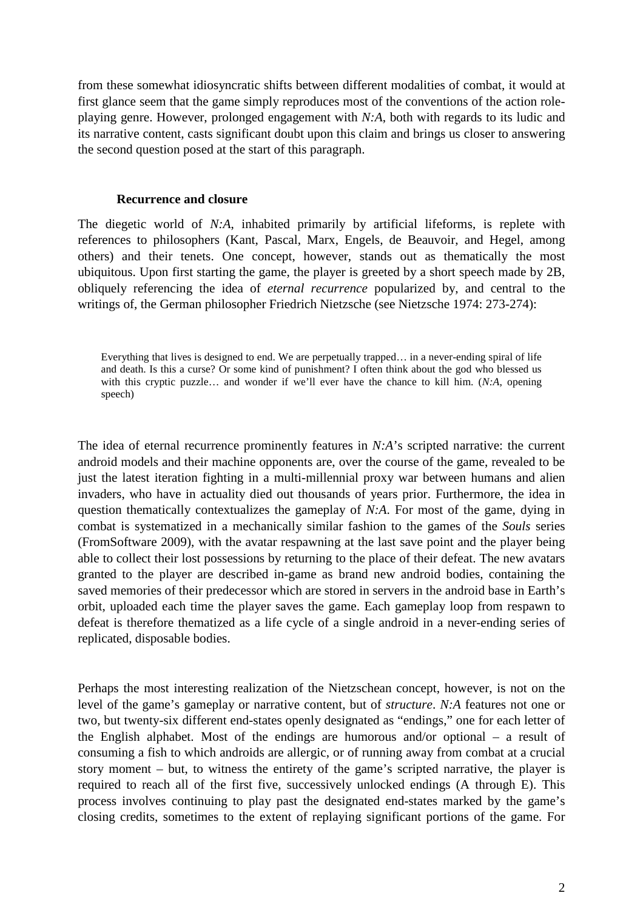from these somewhat idiosyncratic shifts between different modalities of combat, it would at first glance seem that the game simply reproduces most of the conventions of the action roleplaying genre. However, prolonged engagement with *N:A*, both with regards to its ludic and its narrative content, casts significant doubt upon this claim and brings us closer to answering the second question posed at the start of this paragraph.

#### **Recurrence and closure**

The diegetic world of *N:A*, inhabited primarily by artificial lifeforms, is replete with references to philosophers (Kant, Pascal, Marx, Engels, de Beauvoir, and Hegel, among others) and their tenets. One concept, however, stands out as thematically the most ubiquitous. Upon first starting the game, the player is greeted by a short speech made by 2B, obliquely referencing the idea of *eternal recurrence* popularized by, and central to the writings of, the German philosopher Friedrich Nietzsche (see Nietzsche 1974: 273-274):

Everything that lives is designed to end. We are perpetually trapped… in a never-ending spiral of life and death. Is this a curse? Or some kind of punishment? I often think about the god who blessed us with this cryptic puzzle… and wonder if we'll ever have the chance to kill him. (*N:A*, opening speech)

The idea of eternal recurrence prominently features in *N:A*'s scripted narrative: the current android models and their machine opponents are, over the course of the game, revealed to be just the latest iteration fighting in a multi-millennial proxy war between humans and alien invaders, who have in actuality died out thousands of years prior. Furthermore, the idea in question thematically contextualizes the gameplay of *N:A*. For most of the game, dying in combat is systematized in a mechanically similar fashion to the games of the *Souls* series (FromSoftware 2009), with the avatar respawning at the last save point and the player being able to collect their lost possessions by returning to the place of their defeat. The new avatars granted to the player are described in-game as brand new android bodies, containing the saved memories of their predecessor which are stored in servers in the android base in Earth's orbit, uploaded each time the player saves the game. Each gameplay loop from respawn to defeat is therefore thematized as a life cycle of a single android in a never-ending series of replicated, disposable bodies.

Perhaps the most interesting realization of the Nietzschean concept, however, is not on the level of the game's gameplay or narrative content, but of *structure*. *N:A* features not one or two, but twenty-six different end-states openly designated as "endings," one for each letter of the English alphabet. Most of the endings are humorous and/or optional – a result of consuming a fish to which androids are allergic, or of running away from combat at a crucial story moment – but, to witness the entirety of the game's scripted narrative, the player is required to reach all of the first five, successively unlocked endings (A through E). This process involves continuing to play past the designated end-states marked by the game's closing credits, sometimes to the extent of replaying significant portions of the game. For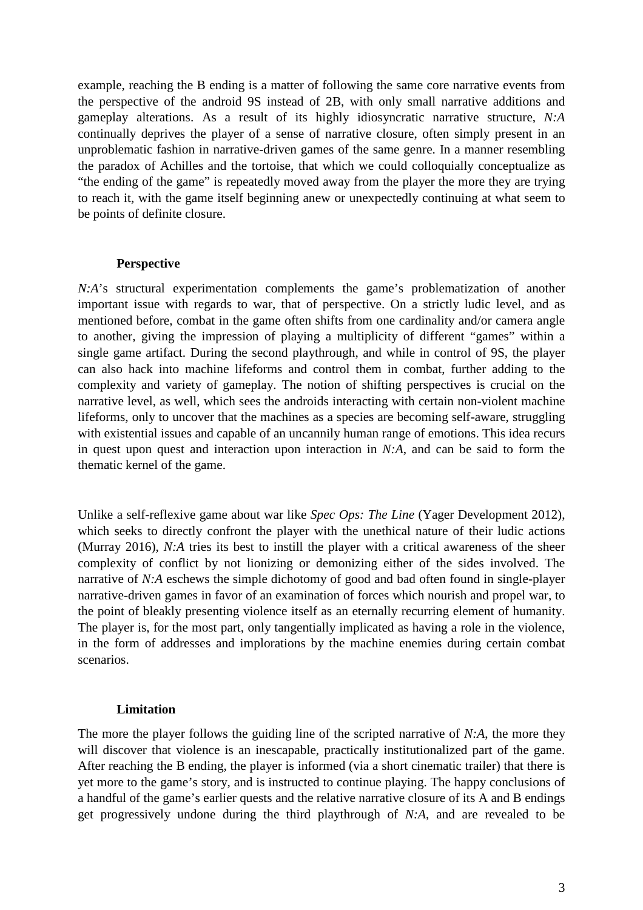example, reaching the B ending is a matter of following the same core narrative events from the perspective of the android 9S instead of 2B, with only small narrative additions and gameplay alterations. As a result of its highly idiosyncratic narrative structure, *N:A* continually deprives the player of a sense of narrative closure, often simply present in an unproblematic fashion in narrative-driven games of the same genre. In a manner resembling the paradox of Achilles and the tortoise, that which we could colloquially conceptualize as "the ending of the game" is repeatedly moved away from the player the more they are trying to reach it, with the game itself beginning anew or unexpectedly continuing at what seem to be points of definite closure.

#### **Perspective**

*N:A*'s structural experimentation complements the game's problematization of another important issue with regards to war, that of perspective. On a strictly ludic level, and as mentioned before, combat in the game often shifts from one cardinality and/or camera angle to another, giving the impression of playing a multiplicity of different "games" within a single game artifact. During the second playthrough, and while in control of 9S, the player can also hack into machine lifeforms and control them in combat, further adding to the complexity and variety of gameplay. The notion of shifting perspectives is crucial on the narrative level, as well, which sees the androids interacting with certain non-violent machine lifeforms, only to uncover that the machines as a species are becoming self-aware, struggling with existential issues and capable of an uncannily human range of emotions. This idea recurs in quest upon quest and interaction upon interaction in *N:A*, and can be said to form the thematic kernel of the game.

Unlike a self-reflexive game about war like *Spec Ops: The Line* (Yager Development 2012), which seeks to directly confront the player with the unethical nature of their ludic actions (Murray 2016), *N:A* tries its best to instill the player with a critical awareness of the sheer complexity of conflict by not lionizing or demonizing either of the sides involved. The narrative of *N:A* eschews the simple dichotomy of good and bad often found in single-player narrative-driven games in favor of an examination of forces which nourish and propel war, to the point of bleakly presenting violence itself as an eternally recurring element of humanity. The player is, for the most part, only tangentially implicated as having a role in the violence, in the form of addresses and implorations by the machine enemies during certain combat scenarios.

#### **Limitation**

The more the player follows the guiding line of the scripted narrative of *N:A*, the more they will discover that violence is an inescapable, practically institutionalized part of the game. After reaching the B ending, the player is informed (via a short cinematic trailer) that there is yet more to the game's story, and is instructed to continue playing. The happy conclusions of a handful of the game's earlier quests and the relative narrative closure of its A and B endings get progressively undone during the third playthrough of *N:A*, and are revealed to be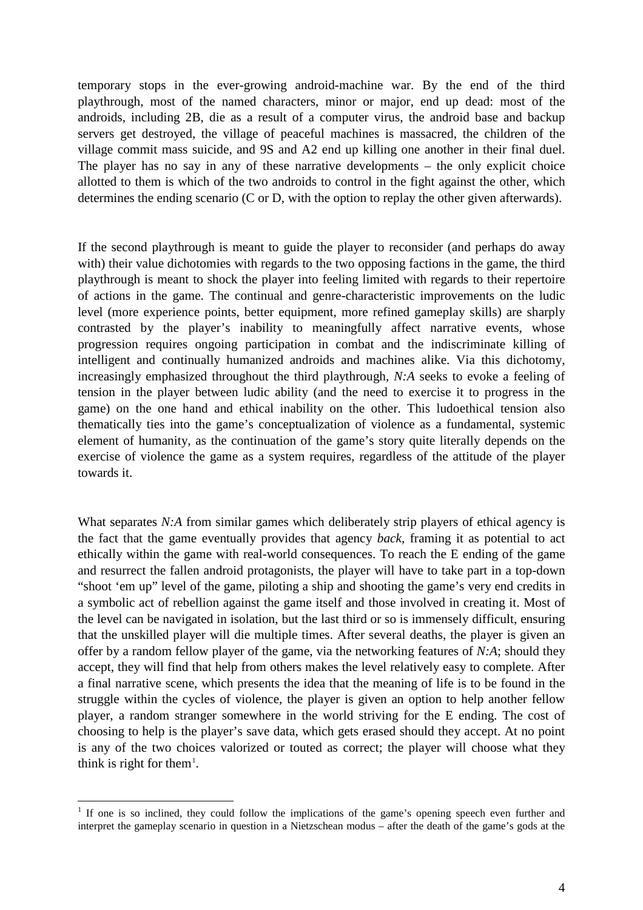temporary stops in the ever-growing android-machine war. By the end of the third playthrough, most of the named characters, minor or major, end up dead: most of the androids, including 2B, die as a result of a computer virus, the android base and backup servers get destroyed, the village of peaceful machines is massacred, the children of the village commit mass suicide, and 9S and A2 end up killing one another in their final duel. The player has no say in any of these narrative developments – the only explicit choice allotted to them is which of the two androids to control in the fight against the other, which determines the ending scenario (C or D, with the option to replay the other given afterwards).

If the second playthrough is meant to guide the player to reconsider (and perhaps do away with) their value dichotomies with regards to the two opposing factions in the game, the third playthrough is meant to shock the player into feeling limited with regards to their repertoire of actions in the game. The continual and genre-characteristic improvements on the ludic level (more experience points, better equipment, more refined gameplay skills) are sharply contrasted by the player's inability to meaningfully affect narrative events, whose progression requires ongoing participation in combat and the indiscriminate killing of intelligent and continually humanized androids and machines alike. Via this dichotomy, increasingly emphasized throughout the third playthrough, *N:A* seeks to evoke a feeling of tension in the player between ludic ability (and the need to exercise it to progress in the game) on the one hand and ethical inability on the other. This ludoethical tension also thematically ties into the game's conceptualization of violence as a fundamental, systemic element of humanity, as the continuation of the game's story quite literally depends on the exercise of violence the game as a system requires, regardless of the attitude of the player towards it.

What separates *N:A* from similar games which deliberately strip players of ethical agency is the fact that the game eventually provides that agency *back*, framing it as potential to act ethically within the game with real-world consequences. To reach the E ending of the game and resurrect the fallen android protagonists, the player will have to take part in a top-down "shoot 'em up" level of the game, piloting a ship and shooting the game's very end credits in a symbolic act of rebellion against the game itself and those involved in creating it. Most of the level can be navigated in isolation, but the last third or so is immensely difficult, ensuring that the unskilled player will die multiple times. After several deaths, the player is given an offer by a random fellow player of the game, via the networking features of *N:A*; should they accept, they will find that help from others makes the level relatively easy to complete. After a final narrative scene, which presents the idea that the meaning of life is to be found in the struggle within the cycles of violence, the player is given an option to help another fellow player, a random stranger somewhere in the world striving for the E ending. The cost of choosing to help is the player's save data, which gets erased should they accept. At no point is any of the two choices valorized or touted as correct; the player will choose what they think is right for them<sup>[1](#page-3-0)</sup>.

<span id="page-3-0"></span><sup>&</sup>lt;sup>1</sup> If one is so inclined, they could follow the implications of the game's opening speech even further and interpret the gameplay scenario in question in a Nietzschean modus – after the death of the game's gods at the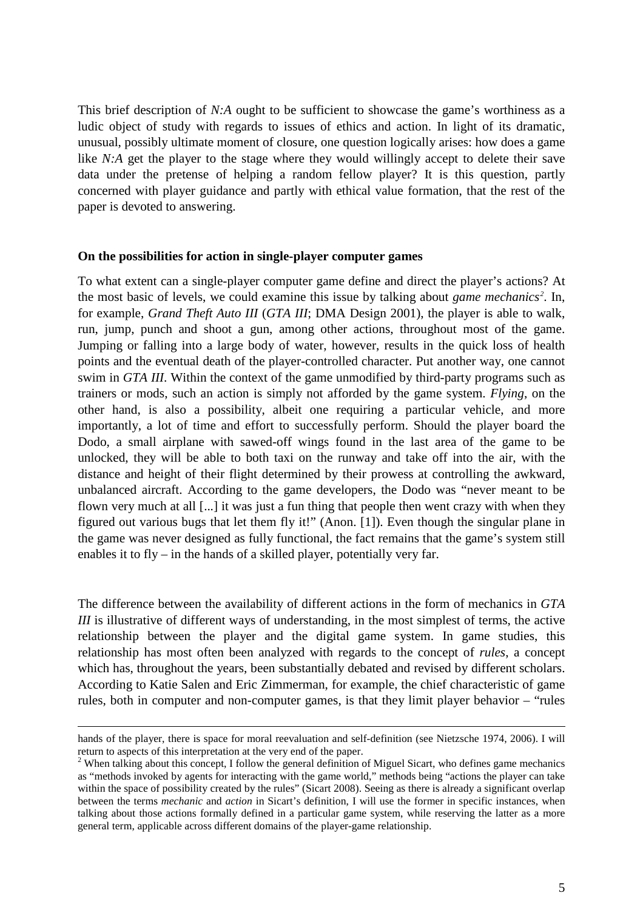This brief description of *N:A* ought to be sufficient to showcase the game's worthiness as a ludic object of study with regards to issues of ethics and action. In light of its dramatic, unusual, possibly ultimate moment of closure, one question logically arises: how does a game like *N:A* get the player to the stage where they would willingly accept to delete their save data under the pretense of helping a random fellow player? It is this question, partly concerned with player guidance and partly with ethical value formation, that the rest of the paper is devoted to answering.

#### **On the possibilities for action in single-player computer games**

To what extent can a single-player computer game define and direct the player's actions? At the most basic of levels, we could examine this issue by talking about *game mechanics[2](#page-4-0)* . In, for example, *Grand Theft Auto III* (*GTA III*; DMA Design 2001), the player is able to walk, run, jump, punch and shoot a gun, among other actions, throughout most of the game. Jumping or falling into a large body of water, however, results in the quick loss of health points and the eventual death of the player-controlled character. Put another way, one cannot swim in *GTA III*. Within the context of the game unmodified by third-party programs such as trainers or mods, such an action is simply not afforded by the game system. *Flying*, on the other hand, is also a possibility, albeit one requiring a particular vehicle, and more importantly, a lot of time and effort to successfully perform. Should the player board the Dodo, a small airplane with sawed-off wings found in the last area of the game to be unlocked, they will be able to both taxi on the runway and take off into the air, with the distance and height of their flight determined by their prowess at controlling the awkward, unbalanced aircraft. According to the game developers, the Dodo was "never meant to be flown very much at all [...] it was just a fun thing that people then went crazy with when they figured out various bugs that let them fly it!" (Anon. [1]). Even though the singular plane in the game was never designed as fully functional, the fact remains that the game's system still enables it to fly – in the hands of a skilled player, potentially very far.

The difference between the availability of different actions in the form of mechanics in *GTA III* is illustrative of different ways of understanding, in the most simplest of terms, the active relationship between the player and the digital game system. In game studies, this relationship has most often been analyzed with regards to the concept of *rules*, a concept which has, throughout the years, been substantially debated and revised by different scholars. According to Katie Salen and Eric Zimmerman, for example, the chief characteristic of game rules, both in computer and non-computer games, is that they limit player behavior – "rules

 $\overline{a}$ 

hands of the player, there is space for moral reevaluation and self-definition (see Nietzsche 1974, 2006). I will return to aspects of this interpretation at the very end of the paper.

<span id="page-4-0"></span><sup>&</sup>lt;sup>2</sup> When talking about this concept, I follow the general definition of Miguel Sicart, who defines game mechanics as "methods invoked by agents for interacting with the game world," methods being "actions the player can take within the space of possibility created by the rules" (Sicart 2008). Seeing as there is already a significant overlap between the terms *mechanic* and *action* in Sicart's definition, I will use the former in specific instances, when talking about those actions formally defined in a particular game system, while reserving the latter as a more general term, applicable across different domains of the player-game relationship.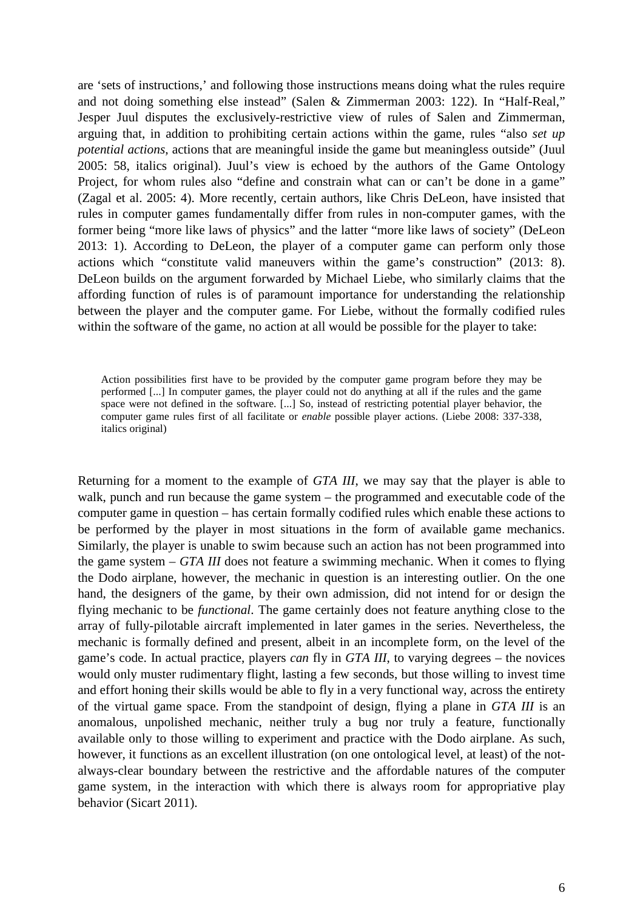are 'sets of instructions,' and following those instructions means doing what the rules require and not doing something else instead" (Salen & Zimmerman 2003: 122). In "Half-Real," Jesper Juul disputes the exclusively-restrictive view of rules of Salen and Zimmerman, arguing that, in addition to prohibiting certain actions within the game, rules "also *set up potential actions*, actions that are meaningful inside the game but meaningless outside" (Juul 2005: 58, italics original). Juul's view is echoed by the authors of the Game Ontology Project, for whom rules also "define and constrain what can or can't be done in a game" (Zagal et al. 2005: 4). More recently, certain authors, like Chris DeLeon, have insisted that rules in computer games fundamentally differ from rules in non-computer games, with the former being "more like laws of physics" and the latter "more like laws of society" (DeLeon 2013: 1). According to DeLeon, the player of a computer game can perform only those actions which "constitute valid maneuvers within the game's construction" (2013: 8). DeLeon builds on the argument forwarded by Michael Liebe, who similarly claims that the affording function of rules is of paramount importance for understanding the relationship between the player and the computer game. For Liebe, without the formally codified rules within the software of the game, no action at all would be possible for the player to take:

Action possibilities first have to be provided by the computer game program before they may be performed [...] In computer games, the player could not do anything at all if the rules and the game space were not defined in the software. [...] So, instead of restricting potential player behavior, the computer game rules first of all facilitate or *enable* possible player actions. (Liebe 2008: 337-338, italics original)

Returning for a moment to the example of *GTA III*, we may say that the player is able to walk, punch and run because the game system – the programmed and executable code of the computer game in question – has certain formally codified rules which enable these actions to be performed by the player in most situations in the form of available game mechanics. Similarly, the player is unable to swim because such an action has not been programmed into the game system – *GTA III* does not feature a swimming mechanic. When it comes to flying the Dodo airplane, however, the mechanic in question is an interesting outlier. On the one hand, the designers of the game, by their own admission, did not intend for or design the flying mechanic to be *functional*. The game certainly does not feature anything close to the array of fully-pilotable aircraft implemented in later games in the series. Nevertheless, the mechanic is formally defined and present, albeit in an incomplete form, on the level of the game's code. In actual practice, players *can* fly in *GTA III*, to varying degrees – the novices would only muster rudimentary flight, lasting a few seconds, but those willing to invest time and effort honing their skills would be able to fly in a very functional way, across the entirety of the virtual game space. From the standpoint of design, flying a plane in *GTA III* is an anomalous, unpolished mechanic, neither truly a bug nor truly a feature, functionally available only to those willing to experiment and practice with the Dodo airplane. As such, however, it functions as an excellent illustration (on one ontological level, at least) of the notalways-clear boundary between the restrictive and the affordable natures of the computer game system, in the interaction with which there is always room for appropriative play behavior (Sicart 2011).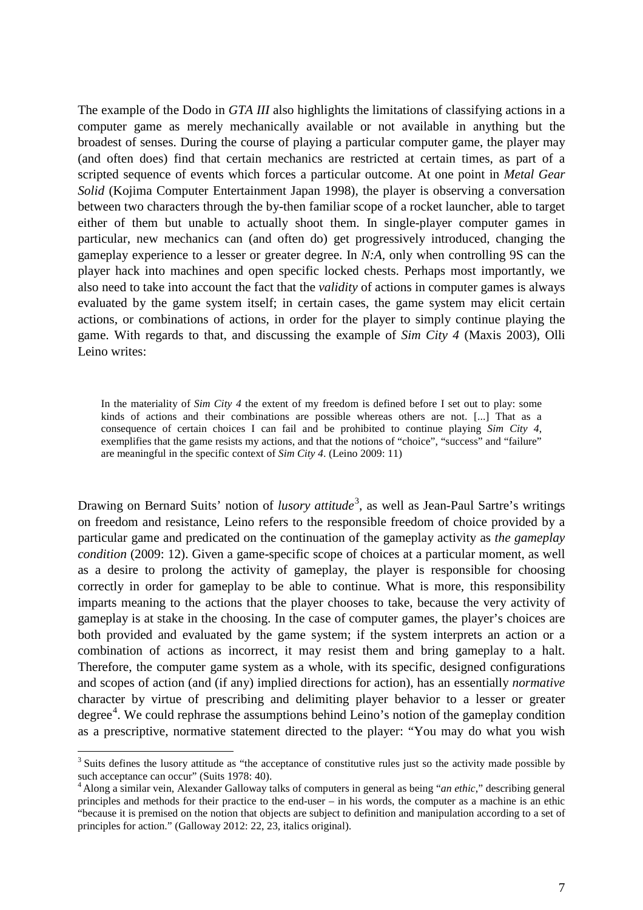The example of the Dodo in *GTA III* also highlights the limitations of classifying actions in a computer game as merely mechanically available or not available in anything but the broadest of senses. During the course of playing a particular computer game, the player may (and often does) find that certain mechanics are restricted at certain times, as part of a scripted sequence of events which forces a particular outcome. At one point in *Metal Gear Solid* (Kojima Computer Entertainment Japan 1998), the player is observing a conversation between two characters through the by-then familiar scope of a rocket launcher, able to target either of them but unable to actually shoot them. In single-player computer games in particular, new mechanics can (and often do) get progressively introduced, changing the gameplay experience to a lesser or greater degree. In *N:A,* only when controlling 9S can the player hack into machines and open specific locked chests. Perhaps most importantly, we also need to take into account the fact that the *validity* of actions in computer games is always evaluated by the game system itself; in certain cases, the game system may elicit certain actions, or combinations of actions, in order for the player to simply continue playing the game. With regards to that, and discussing the example of *Sim City 4* (Maxis 2003), Olli Leino writes:

In the materiality of *Sim City 4* the extent of my freedom is defined before I set out to play: some kinds of actions and their combinations are possible whereas others are not. [...] That as a consequence of certain choices I can fail and be prohibited to continue playing *Sim City 4*, exemplifies that the game resists my actions, and that the notions of "choice", "success" and "failure" are meaningful in the specific context of *Sim City 4*. (Leino 2009: 11)

Drawing on Bernard Suits' notion of *lusory attitude*<sup>[3](#page-6-0)</sup>, as well as Jean-Paul Sartre's writings on freedom and resistance, Leino refers to the responsible freedom of choice provided by a particular game and predicated on the continuation of the gameplay activity as *the gameplay condition* (2009: 12). Given a game-specific scope of choices at a particular moment, as well as a desire to prolong the activity of gameplay, the player is responsible for choosing correctly in order for gameplay to be able to continue. What is more, this responsibility imparts meaning to the actions that the player chooses to take, because the very activity of gameplay is at stake in the choosing. In the case of computer games, the player's choices are both provided and evaluated by the game system; if the system interprets an action or a combination of actions as incorrect, it may resist them and bring gameplay to a halt. Therefore, the computer game system as a whole, with its specific, designed configurations and scopes of action (and (if any) implied directions for action), has an essentially *normative* character by virtue of prescribing and delimiting player behavior to a lesser or greater degree<sup>[4](#page-6-1)</sup>. We could rephrase the assumptions behind Leino's notion of the gameplay condition as a prescriptive, normative statement directed to the player: "You may do what you wish

<span id="page-6-0"></span> $3$  Suits defines the lusory attitude as "the acceptance of constitutive rules just so the activity made possible by such acceptance can occur" (Suits 1978: 40).

<span id="page-6-1"></span><sup>&</sup>lt;sup>1</sup> Along a similar vein, Alexander Galloway talks of computers in general as being "*an ethic*," describing general principles and methods for their practice to the end-user – in his words, the computer as a machine is an ethic "because it is premised on the notion that objects are subject to definition and manipulation according to a set of principles for action." (Galloway 2012: 22, 23, italics original).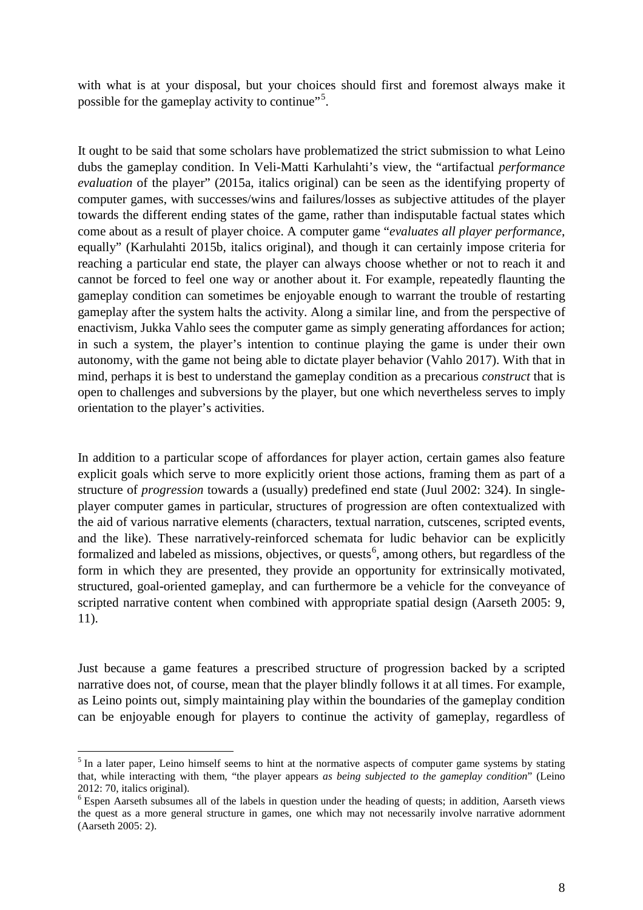with what is at your disposal, but your choices should first and foremost always make it possible for the gameplay activity to continue"<sup>[5](#page-7-0)</sup>.

It ought to be said that some scholars have problematized the strict submission to what Leino dubs the gameplay condition. In Veli-Matti Karhulahti's view, the "artifactual *performance evaluation* of the player" (2015a, italics original) can be seen as the identifying property of computer games, with successes/wins and failures/losses as subjective attitudes of the player towards the different ending states of the game, rather than indisputable factual states which come about as a result of player choice. A computer game "*evaluates all player performance*, equally" (Karhulahti 2015b, italics original), and though it can certainly impose criteria for reaching a particular end state, the player can always choose whether or not to reach it and cannot be forced to feel one way or another about it. For example, repeatedly flaunting the gameplay condition can sometimes be enjoyable enough to warrant the trouble of restarting gameplay after the system halts the activity. Along a similar line, and from the perspective of enactivism, Jukka Vahlo sees the computer game as simply generating affordances for action; in such a system, the player's intention to continue playing the game is under their own autonomy, with the game not being able to dictate player behavior (Vahlo 2017). With that in mind, perhaps it is best to understand the gameplay condition as a precarious *construct* that is open to challenges and subversions by the player, but one which nevertheless serves to imply orientation to the player's activities.

In addition to a particular scope of affordances for player action, certain games also feature explicit goals which serve to more explicitly orient those actions, framing them as part of a structure of *progression* towards a (usually) predefined end state (Juul 2002: 324). In singleplayer computer games in particular, structures of progression are often contextualized with the aid of various narrative elements (characters, textual narration, cutscenes, scripted events, and the like). These narratively-reinforced schemata for ludic behavior can be explicitly formalized and labeled as missions, objectives, or quests<sup>[6](#page-7-1)</sup>, among others, but regardless of the form in which they are presented, they provide an opportunity for extrinsically motivated, structured, goal-oriented gameplay, and can furthermore be a vehicle for the conveyance of scripted narrative content when combined with appropriate spatial design (Aarseth 2005: 9, 11).

Just because a game features a prescribed structure of progression backed by a scripted narrative does not, of course, mean that the player blindly follows it at all times. For example, as Leino points out, simply maintaining play within the boundaries of the gameplay condition can be enjoyable enough for players to continue the activity of gameplay, regardless of

<span id="page-7-0"></span><sup>&</sup>lt;sup>5</sup> In a later paper, Leino himself seems to hint at the normative aspects of computer game systems by stating that, while interacting with them, "the player appears *as being subjected to the gameplay condition*" (Leino 2012: 70, italics original).

<span id="page-7-1"></span><sup>&</sup>lt;sup>6</sup> Espen Aarseth subsumes all of the labels in question under the heading of quests; in addition, Aarseth views the quest as a more general structure in games, one which may not necessarily involve narrative adornment (Aarseth 2005: 2).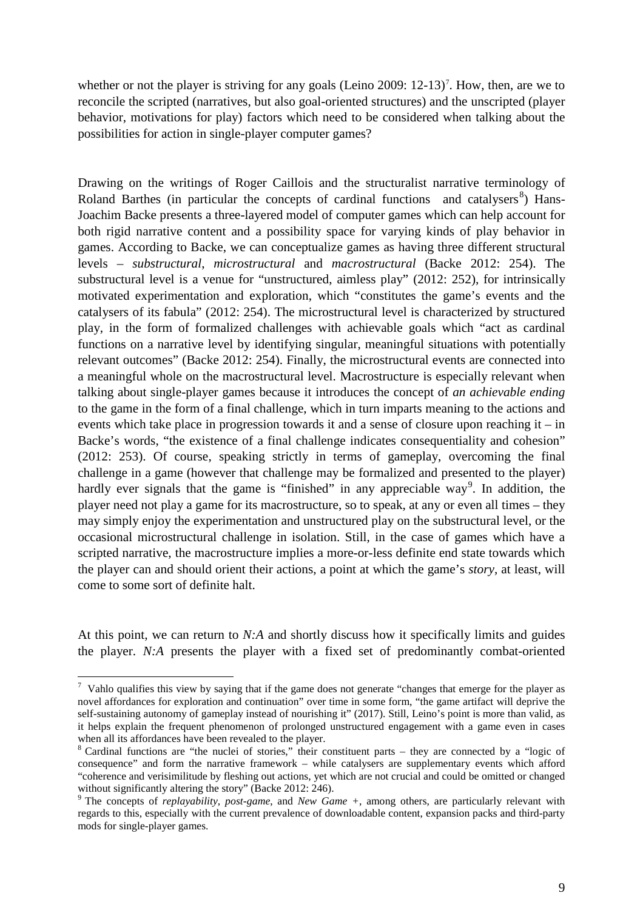whether or not the player is striving for any goals (Leino 2009:  $12-13$ )<sup>[7](#page-8-0)</sup>. How, then, are we to reconcile the scripted (narratives, but also goal-oriented structures) and the unscripted (player behavior, motivations for play) factors which need to be considered when talking about the possibilities for action in single-player computer games?

Drawing on the writings of Roger Caillois and the structuralist narrative terminology of Roland Barthes (in particular the concepts of cardinal functions and catalysers $\delta$ ) Hans-Joachim Backe presents a three-layered model of computer games which can help account for both rigid narrative content and a possibility space for varying kinds of play behavior in games. According to Backe, we can conceptualize games as having three different structural levels – *substructural*, *microstructural* and *macrostructural* (Backe 2012: 254). The substructural level is a venue for "unstructured, aimless play" (2012: 252), for intrinsically motivated experimentation and exploration, which "constitutes the game's events and the catalysers of its fabula" (2012: 254). The microstructural level is characterized by structured play, in the form of formalized challenges with achievable goals which "act as cardinal functions on a narrative level by identifying singular, meaningful situations with potentially relevant outcomes" (Backe 2012: 254). Finally, the microstructural events are connected into a meaningful whole on the macrostructural level. Macrostructure is especially relevant when talking about single-player games because it introduces the concept of *an achievable ending* to the game in the form of a final challenge, which in turn imparts meaning to the actions and events which take place in progression towards it and a sense of closure upon reaching it – in Backe's words, "the existence of a final challenge indicates consequentiality and cohesion" (2012: 253). Of course, speaking strictly in terms of gameplay, overcoming the final challenge in a game (however that challenge may be formalized and presented to the player) hardly ever signals that the game is "finished" in any appreciable way<sup>[9](#page-8-2)</sup>. In addition, the player need not play a game for its macrostructure, so to speak, at any or even all times – they may simply enjoy the experimentation and unstructured play on the substructural level, or the occasional microstructural challenge in isolation. Still, in the case of games which have a scripted narrative, the macrostructure implies a more-or-less definite end state towards which the player can and should orient their actions, a point at which the game's *story*, at least, will come to some sort of definite halt.

At this point, we can return to *N:A* and shortly discuss how it specifically limits and guides the player. *N:A* presents the player with a fixed set of predominantly combat-oriented

<span id="page-8-0"></span><sup>⊤&</sup>lt;br>7  $\frac{7}{1}$  Vahlo qualifies this view by saying that if the game does not generate "changes that emerge for the player as novel affordances for exploration and continuation" over time in some form, "the game artifact will deprive the self-sustaining autonomy of gameplay instead of nourishing it" (2017). Still, Leino's point is more than valid, as it helps explain the frequent phenomenon of prolonged unstructured engagement with a game even in cases

<span id="page-8-1"></span>when all its affordances have been revealed to the player.<br><sup>8</sup> Cardinal functions are "the nuclei of stories," their constituent parts – they are connected by a "logic of consequence" and form the narrative framework – while catalysers are supplementary events which afford "coherence and verisimilitude by fleshing out actions, yet which are not crucial and could be omitted or changed without significantly altering the story" (Backe 2012: 246).

<span id="page-8-2"></span><sup>9</sup> The concepts of *replayability*, *post-game*, and *New Game +*, among others, are particularly relevant with regards to this, especially with the current prevalence of downloadable content, expansion packs and third-party mods for single-player games.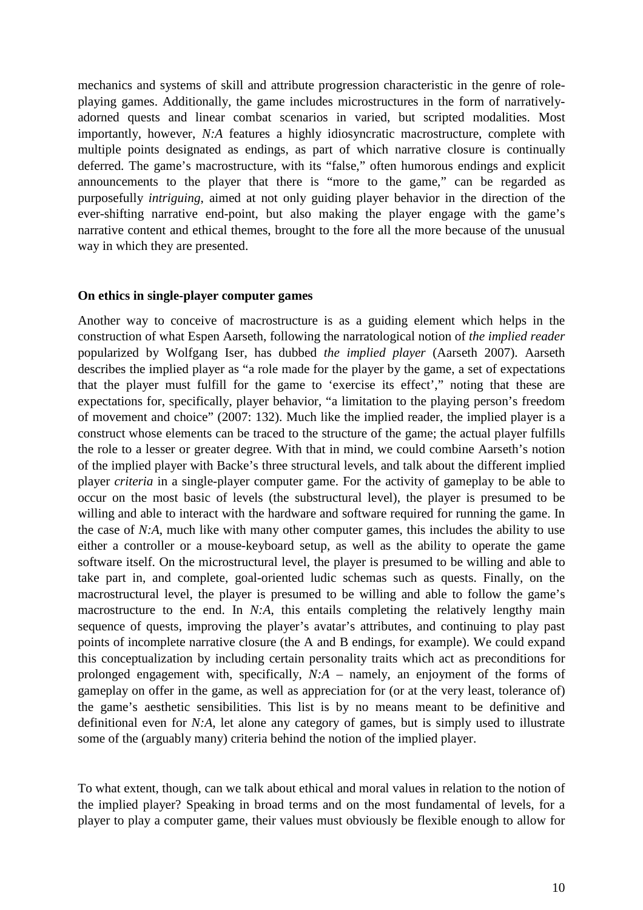mechanics and systems of skill and attribute progression characteristic in the genre of roleplaying games. Additionally, the game includes microstructures in the form of narrativelyadorned quests and linear combat scenarios in varied, but scripted modalities. Most importantly, however, *N:A* features a highly idiosyncratic macrostructure, complete with multiple points designated as endings, as part of which narrative closure is continually deferred. The game's macrostructure, with its "false," often humorous endings and explicit announcements to the player that there is "more to the game," can be regarded as purposefully *intriguing*, aimed at not only guiding player behavior in the direction of the ever-shifting narrative end-point, but also making the player engage with the game's narrative content and ethical themes, brought to the fore all the more because of the unusual way in which they are presented.

#### **On ethics in single-player computer games**

Another way to conceive of macrostructure is as a guiding element which helps in the construction of what Espen Aarseth, following the narratological notion of *the implied reader* popularized by Wolfgang Iser, has dubbed *the implied player* (Aarseth 2007). Aarseth describes the implied player as "a role made for the player by the game, a set of expectations that the player must fulfill for the game to 'exercise its effect'," noting that these are expectations for, specifically, player behavior, "a limitation to the playing person's freedom of movement and choice" (2007: 132). Much like the implied reader, the implied player is a construct whose elements can be traced to the structure of the game; the actual player fulfills the role to a lesser or greater degree. With that in mind, we could combine Aarseth's notion of the implied player with Backe's three structural levels, and talk about the different implied player *criteria* in a single-player computer game. For the activity of gameplay to be able to occur on the most basic of levels (the substructural level), the player is presumed to be willing and able to interact with the hardware and software required for running the game. In the case of *N:A*, much like with many other computer games, this includes the ability to use either a controller or a mouse-keyboard setup, as well as the ability to operate the game software itself. On the microstructural level, the player is presumed to be willing and able to take part in, and complete, goal-oriented ludic schemas such as quests. Finally, on the macrostructural level, the player is presumed to be willing and able to follow the game's macrostructure to the end. In *N:A*, this entails completing the relatively lengthy main sequence of quests, improving the player's avatar's attributes, and continuing to play past points of incomplete narrative closure (the A and B endings, for example). We could expand this conceptualization by including certain personality traits which act as preconditions for prolonged engagement with, specifically, *N:A* – namely, an enjoyment of the forms of gameplay on offer in the game, as well as appreciation for (or at the very least, tolerance of) the game's aesthetic sensibilities. This list is by no means meant to be definitive and definitional even for *N:A*, let alone any category of games, but is simply used to illustrate some of the (arguably many) criteria behind the notion of the implied player.

To what extent, though, can we talk about ethical and moral values in relation to the notion of the implied player? Speaking in broad terms and on the most fundamental of levels, for a player to play a computer game, their values must obviously be flexible enough to allow for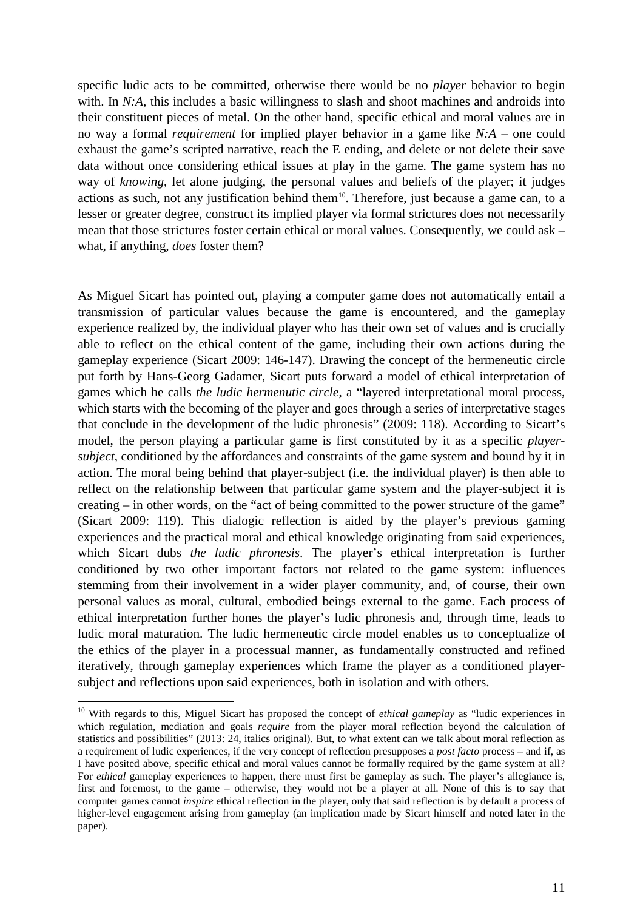specific ludic acts to be committed, otherwise there would be no *player* behavior to begin with. In *N:A*, this includes a basic willingness to slash and shoot machines and androids into their constituent pieces of metal. On the other hand, specific ethical and moral values are in no way a formal *requirement* for implied player behavior in a game like *N:A* – one could exhaust the game's scripted narrative, reach the E ending, and delete or not delete their save data without once considering ethical issues at play in the game. The game system has no way of *knowing*, let alone judging, the personal values and beliefs of the player; it judges actions as such, not any justification behind them<sup>10</sup>. Therefore, just because a game can, to a lesser or greater degree, construct its implied player via formal strictures does not necessarily mean that those strictures foster certain ethical or moral values. Consequently, we could ask – what, if anything, *does* foster them?

As Miguel Sicart has pointed out, playing a computer game does not automatically entail a transmission of particular values because the game is encountered, and the gameplay experience realized by, the individual player who has their own set of values and is crucially able to reflect on the ethical content of the game, including their own actions during the gameplay experience (Sicart 2009: 146-147). Drawing the concept of the hermeneutic circle put forth by Hans-Georg Gadamer, Sicart puts forward a model of ethical interpretation of games which he calls *the ludic hermenutic circle*, a "layered interpretational moral process, which starts with the becoming of the player and goes through a series of interpretative stages that conclude in the development of the ludic phronesis" (2009: 118). According to Sicart's model, the person playing a particular game is first constituted by it as a specific *playersubject*, conditioned by the affordances and constraints of the game system and bound by it in action. The moral being behind that player-subject (i.e. the individual player) is then able to reflect on the relationship between that particular game system and the player-subject it is creating – in other words, on the "act of being committed to the power structure of the game" (Sicart 2009: 119). This dialogic reflection is aided by the player's previous gaming experiences and the practical moral and ethical knowledge originating from said experiences, which Sicart dubs *the ludic phronesis*. The player's ethical interpretation is further conditioned by two other important factors not related to the game system: influences stemming from their involvement in a wider player community, and, of course, their own personal values as moral, cultural, embodied beings external to the game. Each process of ethical interpretation further hones the player's ludic phronesis and, through time, leads to ludic moral maturation. The ludic hermeneutic circle model enables us to conceptualize of the ethics of the player in a processual manner, as fundamentally constructed and refined iteratively, through gameplay experiences which frame the player as a conditioned playersubject and reflections upon said experiences, both in isolation and with others.

<span id="page-10-0"></span> <sup>10</sup> With regards to this, Miguel Sicart has proposed the concept of *ethical gameplay* as "ludic experiences in which regulation, mediation and goals *require* from the player moral reflection beyond the calculation of statistics and possibilities" (2013: 24, italics original). But, to what extent can we talk about moral reflection as a requirement of ludic experiences, if the very concept of reflection presupposes a *post facto* process – and if, as I have posited above, specific ethical and moral values cannot be formally required by the game system at all? For *ethical* gameplay experiences to happen, there must first be gameplay as such. The player's allegiance is, first and foremost, to the game – otherwise, they would not be a player at all. None of this is to say that computer games cannot *inspire* ethical reflection in the player, only that said reflection is by default a process of higher-level engagement arising from gameplay (an implication made by Sicart himself and noted later in the paper).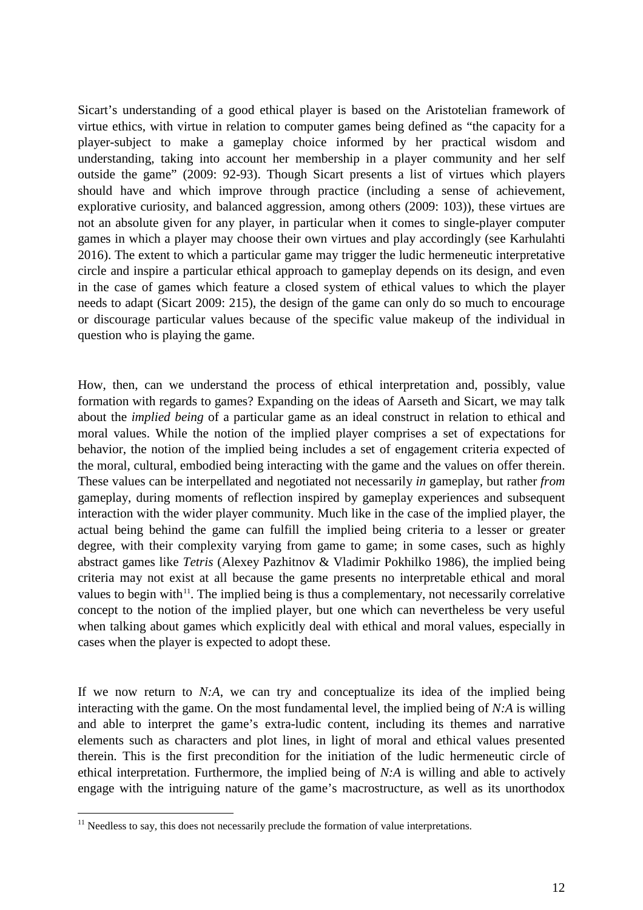Sicart's understanding of a good ethical player is based on the Aristotelian framework of virtue ethics, with virtue in relation to computer games being defined as "the capacity for a player-subject to make a gameplay choice informed by her practical wisdom and understanding, taking into account her membership in a player community and her self outside the game" (2009: 92-93). Though Sicart presents a list of virtues which players should have and which improve through practice (including a sense of achievement, explorative curiosity, and balanced aggression, among others (2009: 103)), these virtues are not an absolute given for any player, in particular when it comes to single-player computer games in which a player may choose their own virtues and play accordingly (see Karhulahti 2016). The extent to which a particular game may trigger the ludic hermeneutic interpretative circle and inspire a particular ethical approach to gameplay depends on its design, and even in the case of games which feature a closed system of ethical values to which the player needs to adapt (Sicart 2009: 215), the design of the game can only do so much to encourage or discourage particular values because of the specific value makeup of the individual in question who is playing the game.

How, then, can we understand the process of ethical interpretation and, possibly, value formation with regards to games? Expanding on the ideas of Aarseth and Sicart, we may talk about the *implied being* of a particular game as an ideal construct in relation to ethical and moral values. While the notion of the implied player comprises a set of expectations for behavior, the notion of the implied being includes a set of engagement criteria expected of the moral, cultural, embodied being interacting with the game and the values on offer therein. These values can be interpellated and negotiated not necessarily *in* gameplay, but rather *from* gameplay, during moments of reflection inspired by gameplay experiences and subsequent interaction with the wider player community. Much like in the case of the implied player, the actual being behind the game can fulfill the implied being criteria to a lesser or greater degree, with their complexity varying from game to game; in some cases, such as highly abstract games like *Tetris* (Alexey Pazhitnov & Vladimir Pokhilko 1986), the implied being criteria may not exist at all because the game presents no interpretable ethical and moral values to begin with $11$ . The implied being is thus a complementary, not necessarily correlative concept to the notion of the implied player, but one which can nevertheless be very useful when talking about games which explicitly deal with ethical and moral values, especially in cases when the player is expected to adopt these.

If we now return to *N:A*, we can try and conceptualize its idea of the implied being interacting with the game. On the most fundamental level, the implied being of *N:A* is willing and able to interpret the game's extra-ludic content, including its themes and narrative elements such as characters and plot lines, in light of moral and ethical values presented therein. This is the first precondition for the initiation of the ludic hermeneutic circle of ethical interpretation. Furthermore, the implied being of *N:A* is willing and able to actively engage with the intriguing nature of the game's macrostructure, as well as its unorthodox

<span id="page-11-0"></span> $11$  Needless to say, this does not necessarily preclude the formation of value interpretations.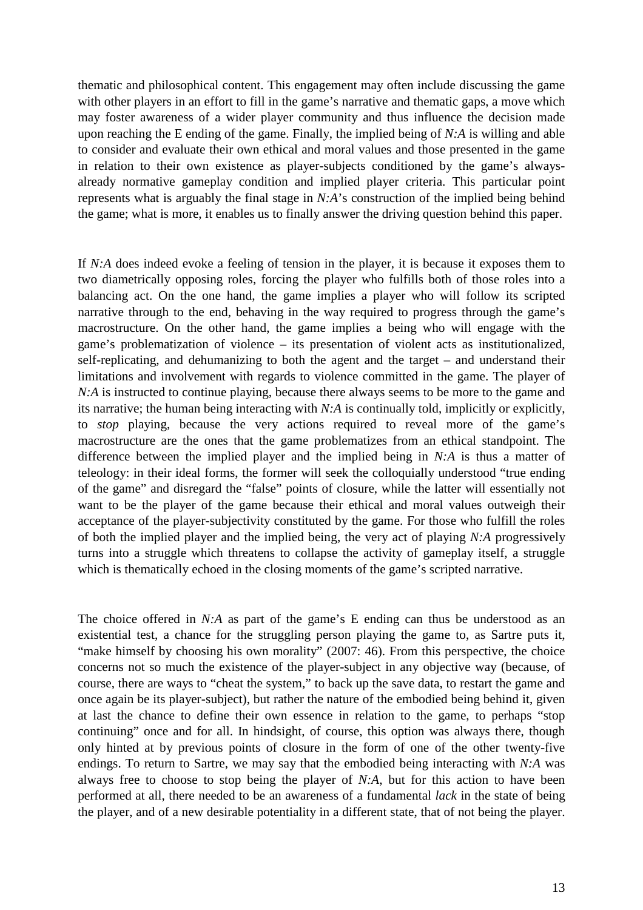thematic and philosophical content. This engagement may often include discussing the game with other players in an effort to fill in the game's narrative and thematic gaps, a move which may foster awareness of a wider player community and thus influence the decision made upon reaching the E ending of the game. Finally, the implied being of *N:A* is willing and able to consider and evaluate their own ethical and moral values and those presented in the game in relation to their own existence as player-subjects conditioned by the game's alwaysalready normative gameplay condition and implied player criteria. This particular point represents what is arguably the final stage in *N:A*'s construction of the implied being behind the game; what is more, it enables us to finally answer the driving question behind this paper.

If *N:A* does indeed evoke a feeling of tension in the player, it is because it exposes them to two diametrically opposing roles, forcing the player who fulfills both of those roles into a balancing act. On the one hand, the game implies a player who will follow its scripted narrative through to the end, behaving in the way required to progress through the game's macrostructure. On the other hand, the game implies a being who will engage with the game's problematization of violence – its presentation of violent acts as institutionalized, self-replicating, and dehumanizing to both the agent and the target – and understand their limitations and involvement with regards to violence committed in the game. The player of *N:A* is instructed to continue playing, because there always seems to be more to the game and its narrative; the human being interacting with *N:A* is continually told, implicitly or explicitly, to *stop* playing, because the very actions required to reveal more of the game's macrostructure are the ones that the game problematizes from an ethical standpoint. The difference between the implied player and the implied being in *N:A* is thus a matter of teleology: in their ideal forms, the former will seek the colloquially understood "true ending of the game" and disregard the "false" points of closure, while the latter will essentially not want to be the player of the game because their ethical and moral values outweigh their acceptance of the player-subjectivity constituted by the game. For those who fulfill the roles of both the implied player and the implied being, the very act of playing *N:A* progressively turns into a struggle which threatens to collapse the activity of gameplay itself, a struggle which is thematically echoed in the closing moments of the game's scripted narrative.

The choice offered in *N:A* as part of the game's E ending can thus be understood as an existential test, a chance for the struggling person playing the game to, as Sartre puts it, "make himself by choosing his own morality" (2007: 46). From this perspective, the choice concerns not so much the existence of the player-subject in any objective way (because, of course, there are ways to "cheat the system," to back up the save data, to restart the game and once again be its player-subject), but rather the nature of the embodied being behind it, given at last the chance to define their own essence in relation to the game, to perhaps "stop continuing" once and for all. In hindsight, of course, this option was always there, though only hinted at by previous points of closure in the form of one of the other twenty-five endings. To return to Sartre, we may say that the embodied being interacting with *N:A* was always free to choose to stop being the player of *N:A*, but for this action to have been performed at all, there needed to be an awareness of a fundamental *lack* in the state of being the player, and of a new desirable potentiality in a different state, that of not being the player.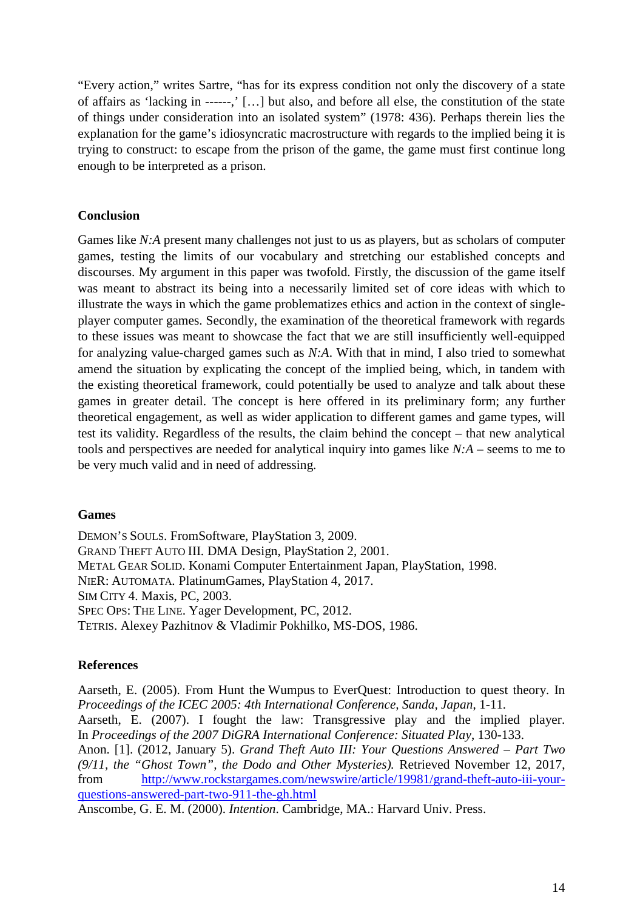"Every action," writes Sartre, "has for its express condition not only the discovery of a state of affairs as 'lacking in ------,' […] but also, and before all else, the constitution of the state of things under consideration into an isolated system" (1978: 436). Perhaps therein lies the explanation for the game's idiosyncratic macrostructure with regards to the implied being it is trying to construct: to escape from the prison of the game, the game must first continue long enough to be interpreted as a prison.

## **Conclusion**

Games like *N:A* present many challenges not just to us as players, but as scholars of computer games, testing the limits of our vocabulary and stretching our established concepts and discourses. My argument in this paper was twofold. Firstly, the discussion of the game itself was meant to abstract its being into a necessarily limited set of core ideas with which to illustrate the ways in which the game problematizes ethics and action in the context of singleplayer computer games. Secondly, the examination of the theoretical framework with regards to these issues was meant to showcase the fact that we are still insufficiently well-equipped for analyzing value-charged games such as *N:A*. With that in mind, I also tried to somewhat amend the situation by explicating the concept of the implied being, which, in tandem with the existing theoretical framework, could potentially be used to analyze and talk about these games in greater detail. The concept is here offered in its preliminary form; any further theoretical engagement, as well as wider application to different games and game types, will test its validity. Regardless of the results, the claim behind the concept – that new analytical tools and perspectives are needed for analytical inquiry into games like *N:A* – seems to me to be very much valid and in need of addressing.

## **Games**

DEMON'S SOULS. FromSoftware, PlayStation 3, 2009. GRAND THEFT AUTO III. DMA Design, PlayStation 2, 2001. METAL GEAR SOLID. Konami Computer Entertainment Japan, PlayStation, 1998. NIER: AUTOMATA*.* PlatinumGames, PlayStation 4, 2017. SIM CITY 4. Maxis, PC, 2003. SPEC OPS: THE LINE. Yager Development, PC, 2012. TETRIS. Alexey Pazhitnov & Vladimir Pokhilko, MS-DOS, 1986.

## **References**

Aarseth, E. (2005). From Hunt the Wumpus to EverQuest: Introduction to quest theory. In *Proceedings of the ICEC 2005: 4th International Conference, Sanda, Japan*, 1-11*.* Aarseth, E. (2007). I fought the law: Transgressive play and the implied player. In *Proceedings of the 2007 DiGRA International Conference: Situated Play*, 130-133. Anon. [1]. (2012, January 5). *Grand Theft Auto III: Your Questions Answered – Part Two (9/11, the "Ghost Town", the Dodo and Other Mysteries).* Retrieved November 12, 2017, from [http://www.rockstargames.com/newswire/article/19981/grand-theft-auto-iii-your](http://www.rockstargames.com/newswire/article/19981/grand-theft-auto-iii-your-questions-answered-part-two-911-the-gh.html)[questions-answered-part-two-911-the-gh.html](http://www.rockstargames.com/newswire/article/19981/grand-theft-auto-iii-your-questions-answered-part-two-911-the-gh.html)

Anscombe, G. E. M. (2000). *Intention*. Cambridge, MA.: Harvard Univ. Press.